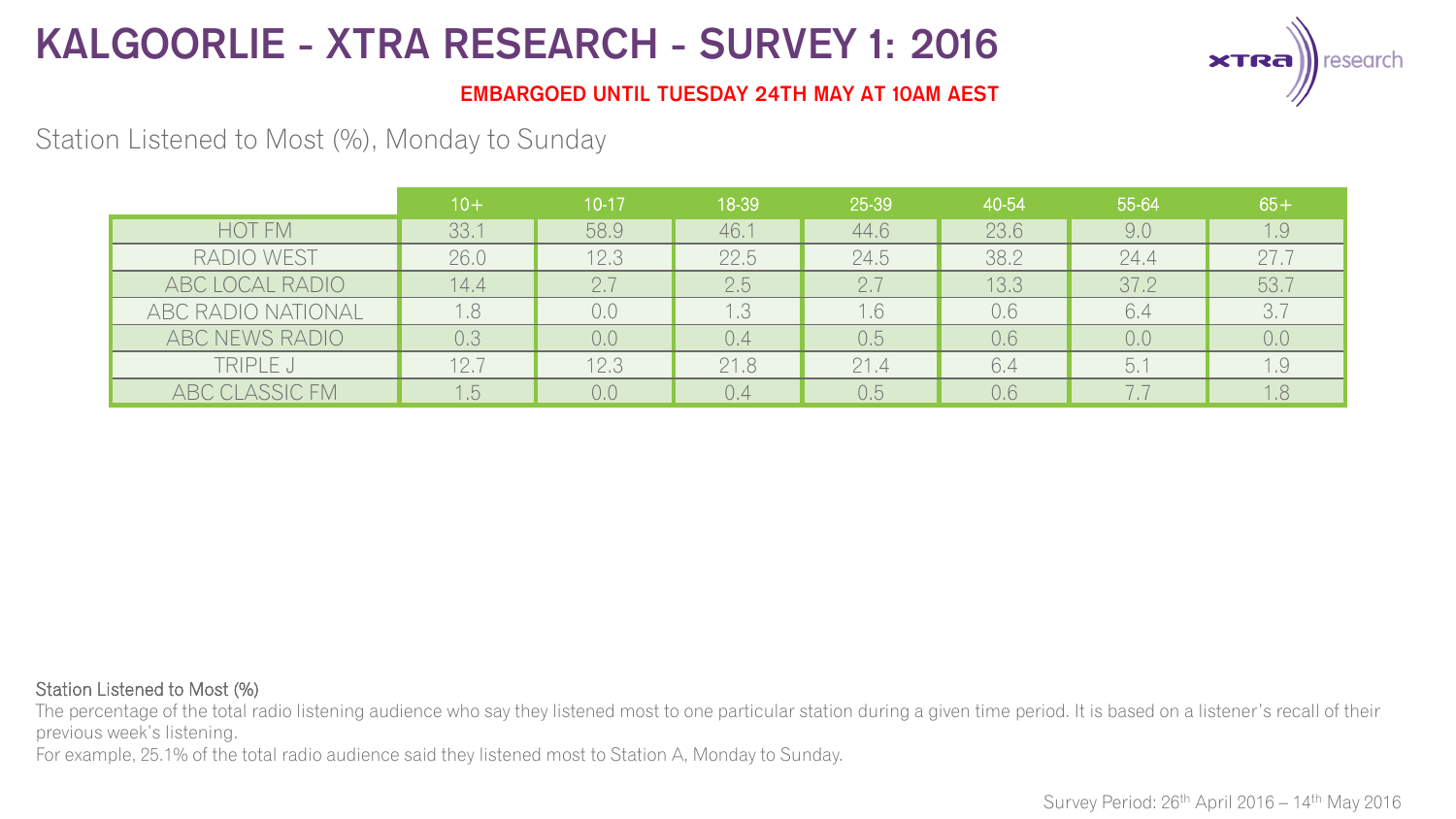

### **EMBARGOED UNTIL TUESDAY 24TH MAY AT 10AM AEST**

## Station Listened to Most (%), Monday to Sunday

|                    | $10+$ | $10-17$ | 18-39 | 25-39 | 40-54 | 55-64 | $65+$ |
|--------------------|-------|---------|-------|-------|-------|-------|-------|
| <b>HOT FM</b>      | 33.1  | 58.9    | 46.1  | 44.6  | 23.6  | 9.0   | 1.9   |
| RADIO WEST         | 26.0  | 12.3    | 22.5  | 24.5  | 38.2  | 24.4  | 27.7  |
| ABC LOCAL RADIO    | 14.4  | 2.7     | 2.5   | 2.7   | 13.3  | 37.2  | 53.7  |
| ABC RADIO NATIONAL |       | 0.0     | 1.3   | 1.6   | 0.6   | 6.4   | 3.7   |
| ABC NEWS RADIO     | 0.3   | 0.0     | 0.4   | 0.5   | 0.6   | 0,0   | 0,0   |
| TRIPLE J           | 12.7  | 12.3    | 21.8  | 21.4  | 6.4   | 5.1   | 1.9   |
| ABC CLASSIC FM     | l.b   | 0.0     | 0.4   | 0.5   | 0.6   |       | 1.8   |

#### Station Listened to Most (%)

The percentage of the total radio listening audience who say they listened most to one particular station during a given time period. It is based on a listener's recall of their previous week's listening.

For example, 25.1% of the total radio audience said they listened most to Station A, Monday to Sunday.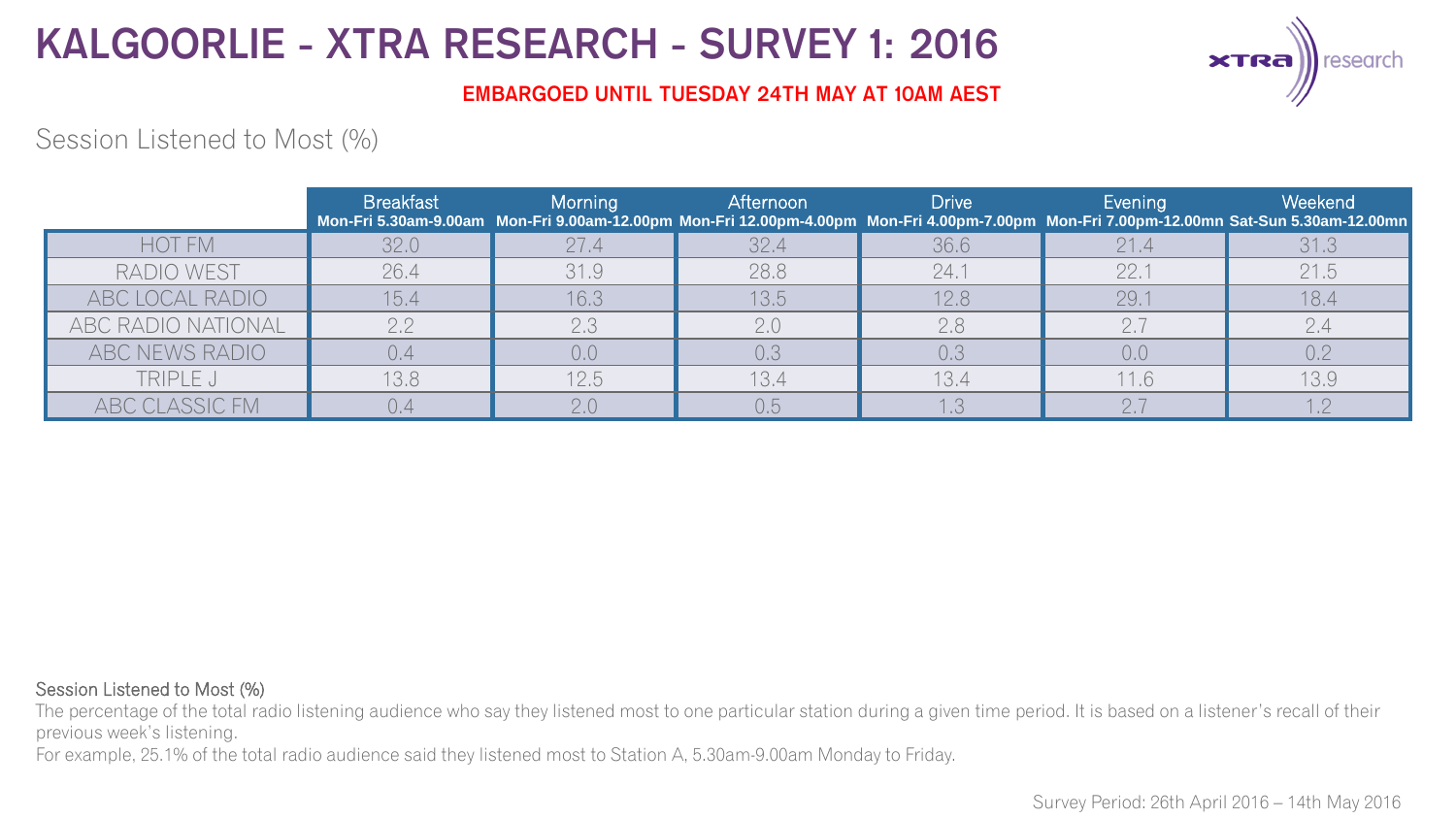

### **EMBARGOED UNTIL TUESDAY 24TH MAY AT 10AM AEST**

## Session Listened to Most (%)

|                    | <b>Breakfast</b> | Morning | Afternoon | <b>Drive</b> | Evening | <b>Weekend</b><br>Mon-Fri 5.30am-9.00am Mon-Fri 9.00am-12.00pm Mon-Fri 12.00pm-4.00pm Mon-Fri 4.00pm-7.00pm Mon-Fri 7.00pm-12.00mn Sat-Sun 5.30am-12.00mn |
|--------------------|------------------|---------|-----------|--------------|---------|-----------------------------------------------------------------------------------------------------------------------------------------------------------|
| <b>HOT FM</b>      | 32.0             | 27.4    | 32.4      | 36.6         | 21.4    | 31.3                                                                                                                                                      |
| RADIO WEST         | 26.4             | 31.9    | 28.8      | 24.1         | 22.1    | 21.5                                                                                                                                                      |
| ABC LOCAL RADIO    | 15.4             | 16.3    | 13.5      | 12.8         | 29.7    | 18.4                                                                                                                                                      |
| ABC RADIO NATIONAL | 2.2              | 2.3     | 2.0       | 2.8          | 2.7     |                                                                                                                                                           |
| ABC NEWS RADIO     | 0.4              | 0,0     |           | 0.3          | 0,0     | 0.2                                                                                                                                                       |
| TRIPLE J           | 13.8             | 12.5    | 13.4      | 13.4         | 11.6    | 13.9                                                                                                                                                      |
| ABC CLASSIC FM     |                  |         | 0.5       |              |         |                                                                                                                                                           |

#### Session Listened to Most (%)

The percentage of the total radio listening audience who say they listened most to one particular station during a given time period. It is based on a listener's recall of their previous week's listening.

For example, 25.1% of the total radio audience said they listened most to Station A, 5.30am-9.00am Monday to Friday.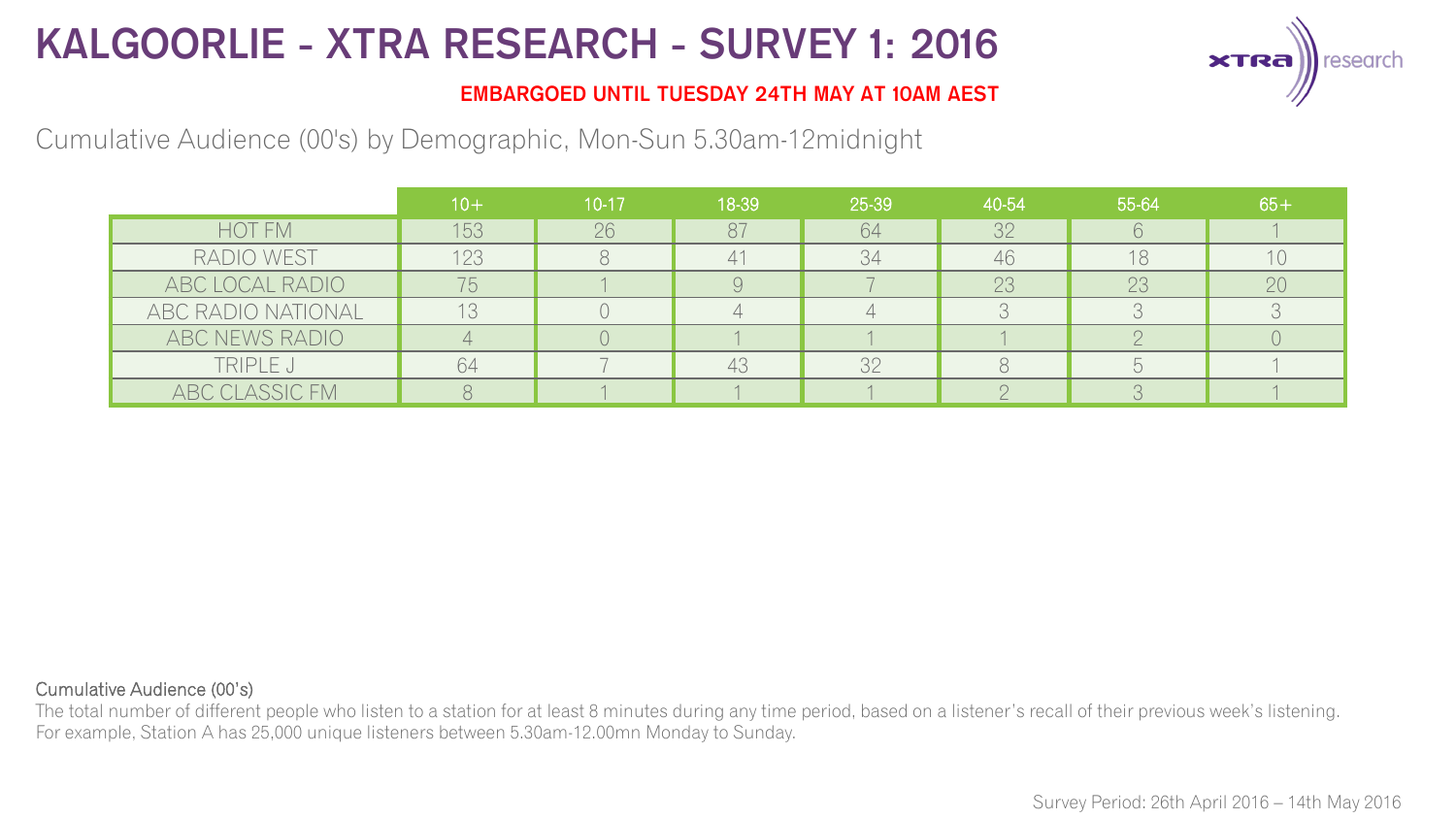

### **EMBARGOED UNTIL TUESDAY 24TH MAY AT 10AM AEST**

## Cumulative Audience (00's) by Demographic, Mon-Sun 5.30am-12midnight

|                    | $10+$ | $10-17$ | 18-39 | 25-39 | 40-54 | 55-64 | $65 +$ |
|--------------------|-------|---------|-------|-------|-------|-------|--------|
| HOT FM             | 153   | 26      | 87    | 64    | 32    |       |        |
| RADIO WEST         | 123   |         |       | 34    | 46    | 18    |        |
| ABC LOCAL RADIO    |       |         |       |       | 23    | 23    | 20     |
| ABC RADIO NATIONAL |       |         |       |       |       |       |        |
| ABC NEWS RADIO     |       |         |       |       |       |       |        |
| TRIPLE J           | $h_4$ |         | 43    | 32    |       |       |        |
| ABC CLASSIC FM     |       |         |       |       |       |       |        |

#### Cumulative Audience (00's)

The total number of different people who listen to a station for at least 8 minutes during any time period, based on a listener's recall of their previous week's listening. For example, Station A has 25,000 unique listeners between 5.30am-12.00mn Monday to Sunday.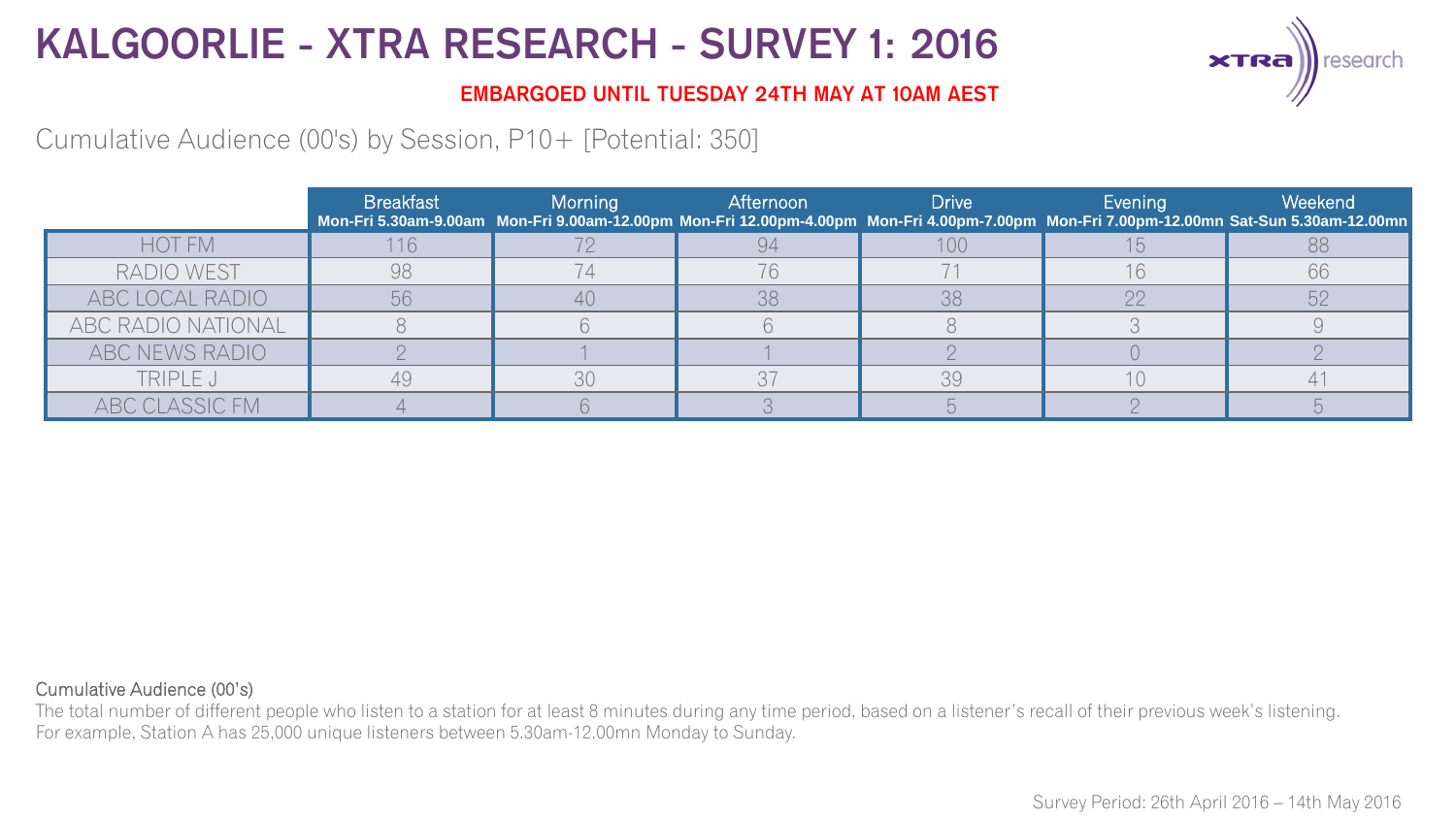

### **EMBARGOED UNTIL TUESDAY 24TH MAY AT 10AM AEST**

Cumulative Audience (00's) by Session, P10+ [Potential: 350]

|                    | <b>Breakfast</b> | Morning | Afternoon | <b>Drive</b> | Evening | Weekend<br>Mon-Fri 5.30am-9.00am Mon-Fri 9.00am-12.00pm Mon-Fri 12.00pm-4.00pm Mon-Fri 4.00pm-7.00pm Mon-Fri 7.00pm-12.00mn Sat-Sun 5.30am-12.00mn |
|--------------------|------------------|---------|-----------|--------------|---------|----------------------------------------------------------------------------------------------------------------------------------------------------|
| <b>HOT FM</b>      | 116              |         |           | 100          |         | 88                                                                                                                                                 |
| RADIO WEST         | 98               |         |           |              |         | 66                                                                                                                                                 |
| ABC LOCAL RADIO    |                  | 40      | 38        | 38           |         |                                                                                                                                                    |
| ABC RADIO NATIONAL |                  |         |           |              |         |                                                                                                                                                    |
| ABC NEWS RADIO     |                  |         |           |              |         |                                                                                                                                                    |
| TRIPLE J           |                  | 30      | 37        | 39           |         |                                                                                                                                                    |
| ABC CLASSIC FM     |                  |         |           |              |         |                                                                                                                                                    |

#### Cumulative Audience (00's)

The total number of different people who listen to a station for at least 8 minutes during any time period, based on a listener's recall of their previous week's listening. For example, Station A has 25,000 unique listeners between 5.30am-12.00mn Monday to Sunday.